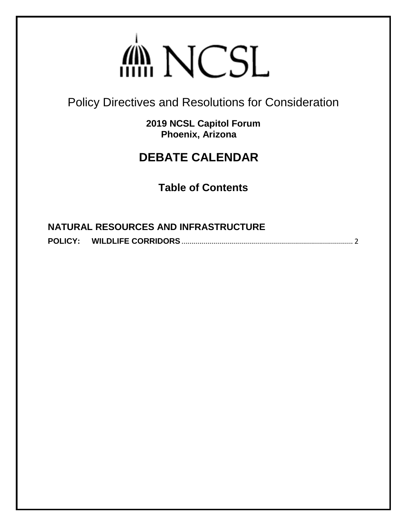## din NCSL

<span id="page-0-0"></span>Policy Directives and Resolutions for Consideration

**2019 NCSL Capitol Forum Phoenix, Arizona**

## **DEBATE CALENDAR**

**Table of Contents**

| <b>NATURAL RESOURCES AND INFRASTRUCTURE</b> |  |
|---------------------------------------------|--|
|                                             |  |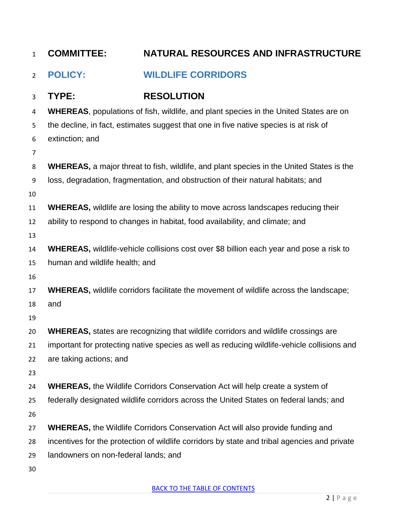<span id="page-1-0"></span>

| $\mathbf{1}$   | <b>COMMITTEE:</b>                                                                               | NATURAL RESOURCES AND INFRASTRUCTURE                                                         |  |  |
|----------------|-------------------------------------------------------------------------------------------------|----------------------------------------------------------------------------------------------|--|--|
| $\overline{2}$ | <b>POLICY:</b>                                                                                  | <b>WILDLIFE CORRIDORS</b>                                                                    |  |  |
| 3              | TYPE:                                                                                           | <b>RESOLUTION</b>                                                                            |  |  |
| 4              | <b>WHEREAS, populations of fish, wildlife, and plant species in the United States are on</b>    |                                                                                              |  |  |
| 5              | the decline, in fact, estimates suggest that one in five native species is at risk of           |                                                                                              |  |  |
| 6              | extinction; and                                                                                 |                                                                                              |  |  |
| $\overline{7}$ |                                                                                                 |                                                                                              |  |  |
| 8              | <b>WHEREAS,</b> a major threat to fish, wildlife, and plant species in the United States is the |                                                                                              |  |  |
| 9              | loss, degradation, fragmentation, and obstruction of their natural habitats; and                |                                                                                              |  |  |
| 10             |                                                                                                 |                                                                                              |  |  |
| 11             | <b>WHEREAS, wildlife are losing the ability to move across landscapes reducing their</b>        |                                                                                              |  |  |
| 12             | ability to respond to changes in habitat, food availability, and climate; and                   |                                                                                              |  |  |
| 13             |                                                                                                 |                                                                                              |  |  |
| 14             | WHEREAS, wildlife-vehicle collisions cost over \$8 billion each year and pose a risk to         |                                                                                              |  |  |
| 15             | human and wildlife health; and                                                                  |                                                                                              |  |  |
| 16             |                                                                                                 |                                                                                              |  |  |
| 17             | WHEREAS, wildlife corridors facilitate the movement of wildlife across the landscape;           |                                                                                              |  |  |
| 18             | and                                                                                             |                                                                                              |  |  |
| 19             |                                                                                                 |                                                                                              |  |  |
| 20             | <b>WHEREAS, states are recognizing that wildlife corridors and wildlife crossings are</b>       |                                                                                              |  |  |
| 21             | important for protecting native species as well as reducing wildlife-vehicle collisions and     |                                                                                              |  |  |
| 22<br>23       | are taking actions; and                                                                         |                                                                                              |  |  |
| 24             |                                                                                                 | <b>WHEREAS, the Wildlife Corridors Conservation Act will help create a system of</b>         |  |  |
| 25             |                                                                                                 | federally designated wildlife corridors across the United States on federal lands; and       |  |  |
| 26             |                                                                                                 |                                                                                              |  |  |
| 27             |                                                                                                 | <b>WHEREAS, the Wildlife Corridors Conservation Act will also provide funding and</b>        |  |  |
| 28             |                                                                                                 | incentives for the protection of wildlife corridors by state and tribal agencies and private |  |  |
| 29             | landowners on non-federal lands; and                                                            |                                                                                              |  |  |
| 30             |                                                                                                 |                                                                                              |  |  |